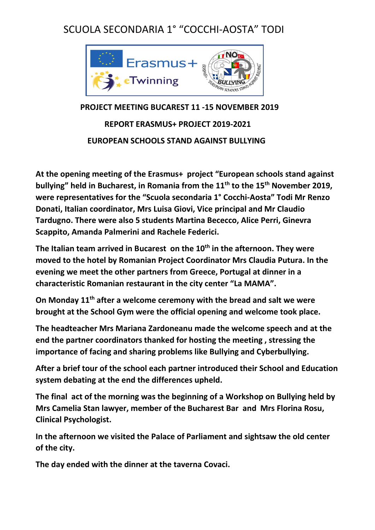## SCUOLA SECONDARIA 1° "COCCHI-AOSTA" TODI



## **PROJECT MEETING BUCAREST 11 -15 NOVEMBER 2019 REPORT ERASMUS+ PROJECT 2019-2021 EUROPEAN SCHOOLS STAND AGAINST BULLYING**

**At the opening meeting of the Erasmus+ project "European schools stand against bullying" held in Bucharest, in Romania from the 11th to the 15th November 2019, were representatives for the "Scuola secondaria 1° Cocchi-Aosta" Todi Mr Renzo Donati, Italian coordinator, Mrs Luisa Giovi, Vice principal and Mr Claudio Tardugno. There were also 5 students Martina Bececco, Alice Perri, Ginevra Scappito, Amanda Palmerini and Rachele Federici.**

**The Italian team arrived in Bucarest on the 10th in the afternoon. They were moved to the hotel by Romanian Project Coordinator Mrs Claudia Putura. In the evening we meet the other partners from Greece, Portugal at dinner in a characteristic Romanian restaurant in the city center "La MAMA".**

**On Monday 11th after a welcome ceremony with the bread and salt we were brought at the School Gym were the official opening and welcome took place.** 

**The headteacher Mrs Mariana Zardoneanu made the welcome speech and at the end the partner coordinators thanked for hosting the meeting , stressing the importance of facing and sharing problems like Bullying and Cyberbullying.** 

**After a brief tour of the school each partner introduced their School and Education system debating at the end the differences upheld.**

**The final act of the morning was the beginning of a Workshop on Bullying held by Mrs Camelia Stan lawyer, member of the Bucharest Bar and Mrs Florina Rosu, Clinical Psychologist.** 

**In the afternoon we visited the Palace of Parliament and sightsaw the old center of the city.** 

**The day ended with the dinner at the taverna Covaci.**